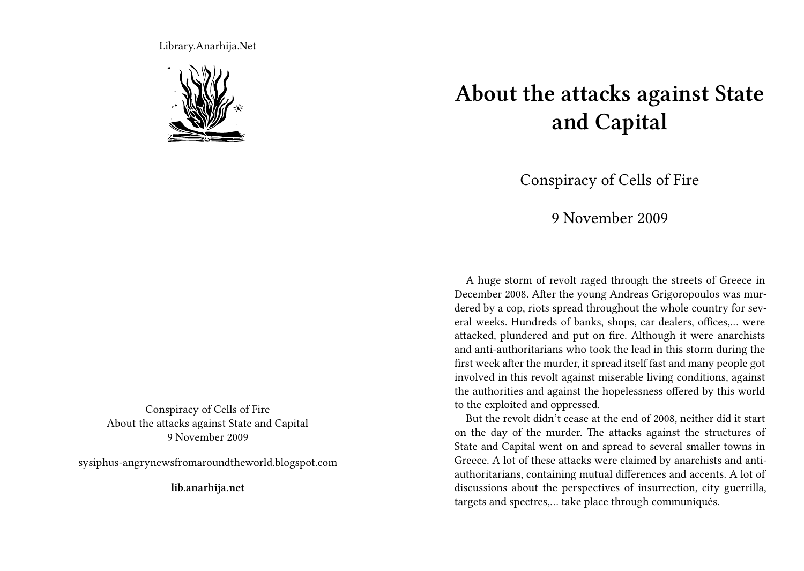Library.Anarhija.Net



Conspiracy of Cells of Fire About the attacks against State and Capital 9 November 2009

sysiphus-angrynewsfromaroundtheworld.blogspot.com

**lib.anarhija.net**

## **About the attacks against State and Capital**

Conspiracy of Cells of Fire

9 November 2009

A huge storm of revolt raged through the streets of Greece in December 2008. After the young Andreas Grigoropoulos was murdered by a cop, riots spread throughout the whole country for several weeks. Hundreds of banks, shops, car dealers, offices,… were attacked, plundered and put on fire. Although it were anarchists and anti-authoritarians who took the lead in this storm during the first week after the murder, it spread itself fast and many people got involved in this revolt against miserable living conditions, against the authorities and against the hopelessness offered by this world to the exploited and oppressed.

But the revolt didn't cease at the end of 2008, neither did it start on the day of the murder. The attacks against the structures of State and Capital went on and spread to several smaller towns in Greece. A lot of these attacks were claimed by anarchists and antiauthoritarians, containing mutual differences and accents. A lot of discussions about the perspectives of insurrection, city guerrilla, targets and spectres,… take place through communiqués.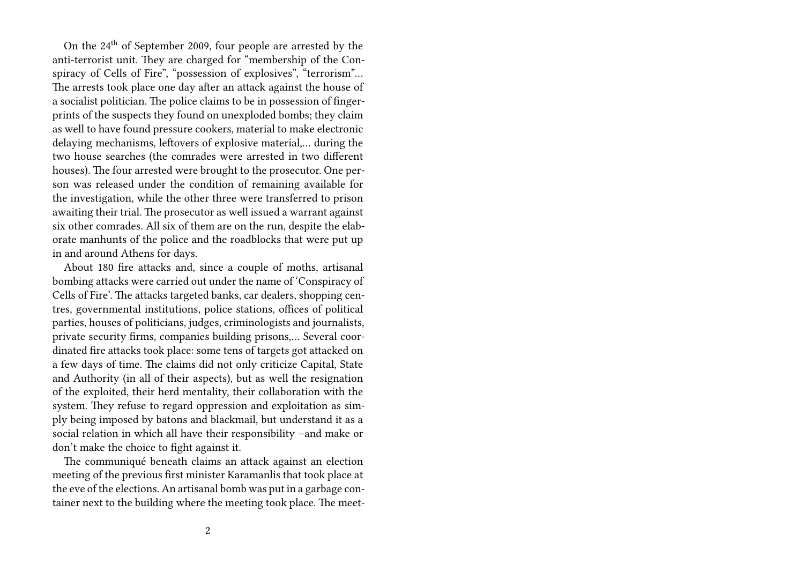On the 24<sup>th</sup> of September 2009, four people are arrested by the anti-terrorist unit. They are charged for "membership of the Conspiracy of Cells of Fire", "possession of explosives", "terrorism"… The arrests took place one day after an attack against the house of a socialist politician. The police claims to be in possession of fingerprints of the suspects they found on unexploded bombs; they claim as well to have found pressure cookers, material to make electronic delaying mechanisms, leftovers of explosive material,… during the two house searches (the comrades were arrested in two different houses). The four arrested were brought to the prosecutor. One person was released under the condition of remaining available for the investigation, while the other three were transferred to prison awaiting their trial. The prosecutor as well issued a warrant against six other comrades. All six of them are on the run, despite the elaborate manhunts of the police and the roadblocks that were put up in and around Athens for days.

About 180 fire attacks and, since a couple of moths, artisanal bombing attacks were carried out under the name of 'Conspiracy of Cells of Fire'. The attacks targeted banks, car dealers, shopping centres, governmental institutions, police stations, offices of political parties, houses of politicians, judges, criminologists and journalists, private security firms, companies building prisons,… Several coordinated fire attacks took place: some tens of targets got attacked on a few days of time. The claims did not only criticize Capital, State and Authority (in all of their aspects), but as well the resignation of the exploited, their herd mentality, their collaboration with the system. They refuse to regard oppression and exploitation as simply being imposed by batons and blackmail, but understand it as a social relation in which all have their responsibility –and make or don't make the choice to fight against it.

The communiqué beneath claims an attack against an election meeting of the previous first minister Karamanlis that took place at the eve of the elections. An artisanal bomb was put in a garbage container next to the building where the meeting took place. The meet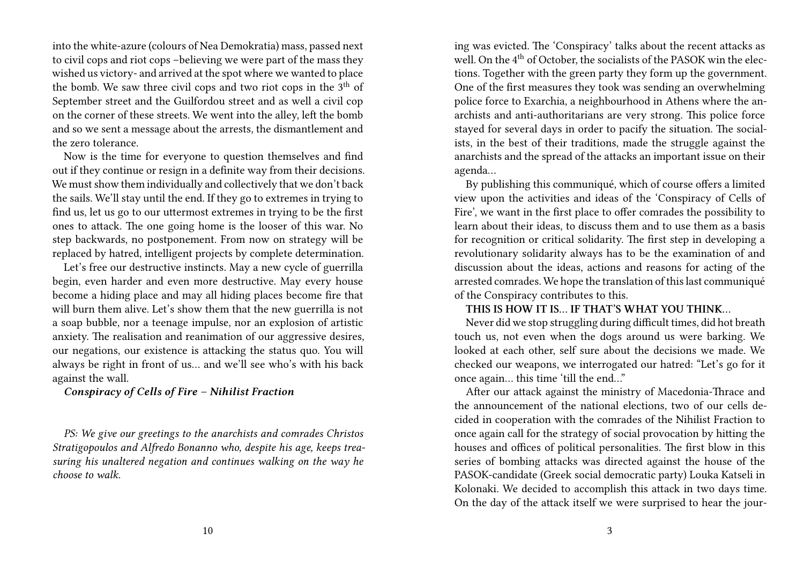into the white-azure (colours of Nea Demokratia) mass, passed next to civil cops and riot cops –believing we were part of the mass they wished us victory- and arrived at the spot where we wanted to place the bomb. We saw three civil cops and two riot cops in the  $3<sup>th</sup>$  of September street and the Guilfordou street and as well a civil cop on the corner of these streets. We went into the alley, left the bomb and so we sent a message about the arrests, the dismantlement and the zero tolerance.

Now is the time for everyone to question themselves and find out if they continue or resign in a definite way from their decisions. We must show them individually and collectively that we don't back the sails. We'll stay until the end. If they go to extremes in trying to find us, let us go to our uttermost extremes in trying to be the first ones to attack. The one going home is the looser of this war. No step backwards, no postponement. From now on strategy will be replaced by hatred, intelligent projects by complete determination.

Let's free our destructive instincts. May a new cycle of guerrilla begin, even harder and even more destructive. May every house become a hiding place and may all hiding places become fire that will burn them alive. Let's show them that the new guerrilla is not a soap bubble, nor a teenage impulse, nor an explosion of artistic anxiety. The realisation and reanimation of our aggressive desires, our negations, our existence is attacking the status quo. You will always be right in front of us… and we'll see who's with his back against the wall.

## *Conspiracy of Cells of Fire – Nihilist Fraction*

*PS: We give our greetings to the anarchists and comrades Christos Stratigopoulos and Alfredo Bonanno who, despite his age, keeps treasuring his unaltered negation and continues walking on the way he choose to walk.*

ing was evicted. The 'Conspiracy' talks about the recent attacks as well. On the 4<sup>th</sup> of October, the socialists of the PASOK win the elections. Together with the green party they form up the government. One of the first measures they took was sending an overwhelming police force to Exarchia, a neighbourhood in Athens where the anarchists and anti-authoritarians are very strong. This police force stayed for several days in order to pacify the situation. The socialists, in the best of their traditions, made the struggle against the anarchists and the spread of the attacks an important issue on their agenda…

By publishing this communiqué, which of course offers a limited view upon the activities and ideas of the 'Conspiracy of Cells of Fire', we want in the first place to offer comrades the possibility to learn about their ideas, to discuss them and to use them as a basis for recognition or critical solidarity. The first step in developing a revolutionary solidarity always has to be the examination of and discussion about the ideas, actions and reasons for acting of the arrested comrades. We hope the translation of this last communiqué of the Conspiracy contributes to this.

## **THIS IS HOW IT IS… IF THAT'S WHAT YOU THINK…**

Never did we stop struggling during difficult times, did hot breath touch us, not even when the dogs around us were barking. We looked at each other, self sure about the decisions we made. We checked our weapons, we interrogated our hatred: "Let's go for it once again… this time 'till the end…"

After our attack against the ministry of Macedonia-Thrace and the announcement of the national elections, two of our cells decided in cooperation with the comrades of the Nihilist Fraction to once again call for the strategy of social provocation by hitting the houses and offices of political personalities. The first blow in this series of bombing attacks was directed against the house of the PASOK-candidate (Greek social democratic party) Louka Katseli in Kolonaki. We decided to accomplish this attack in two days time. On the day of the attack itself we were surprised to hear the jour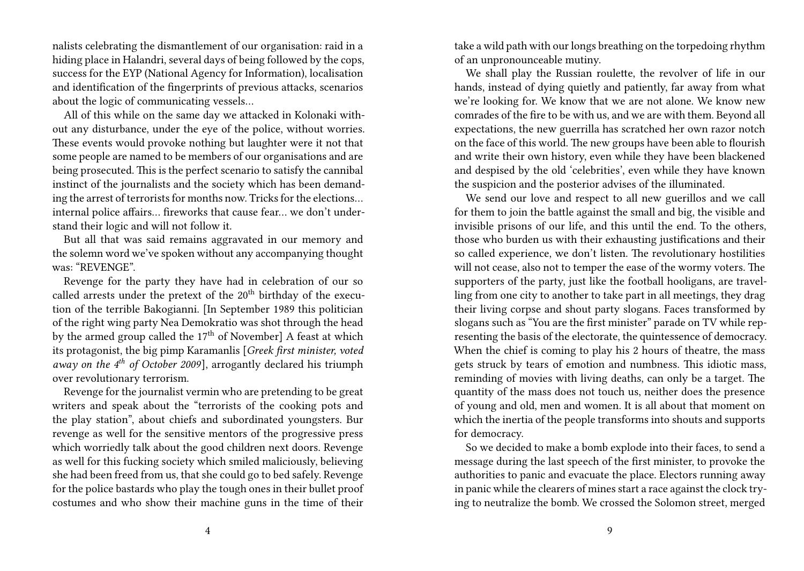nalists celebrating the dismantlement of our organisation: raid in a hiding place in Halandri, several days of being followed by the cops, success for the EYP (National Agency for Information), localisation and identification of the fingerprints of previous attacks, scenarios about the logic of communicating vessels…

All of this while on the same day we attacked in Kolonaki without any disturbance, under the eye of the police, without worries. These events would provoke nothing but laughter were it not that some people are named to be members of our organisations and are being prosecuted. This is the perfect scenario to satisfy the cannibal instinct of the journalists and the society which has been demanding the arrest of terrorists for months now. Tricks for the elections… internal police affairs… fireworks that cause fear… we don't understand their logic and will not follow it.

But all that was said remains aggravated in our memory and the solemn word we've spoken without any accompanying thought was: "REVENGE".

Revenge for the party they have had in celebration of our so called arrests under the pretext of the  $20<sup>th</sup>$  birthday of the execution of the terrible Bakogianni. [In September 1989 this politician of the right wing party Nea Demokratio was shot through the head by the armed group called the  $17<sup>th</sup>$  of November] A feast at which its protagonist, the big pimp Karamanlis [*Greek first minister, voted away on the 4th of October 2009*], arrogantly declared his triumph over revolutionary terrorism.

Revenge for the journalist vermin who are pretending to be great writers and speak about the "terrorists of the cooking pots and the play station", about chiefs and subordinated youngsters. Bur revenge as well for the sensitive mentors of the progressive press which worriedly talk about the good children next doors. Revenge as well for this fucking society which smiled maliciously, believing she had been freed from us, that she could go to bed safely. Revenge for the police bastards who play the tough ones in their bullet proof costumes and who show their machine guns in the time of their

take a wild path with our longs breathing on the torpedoing rhythm of an unpronounceable mutiny.

We shall play the Russian roulette, the revolver of life in our hands, instead of dying quietly and patiently, far away from what we're looking for. We know that we are not alone. We know new comrades of the fire to be with us, and we are with them. Beyond all expectations, the new guerrilla has scratched her own razor notch on the face of this world. The new groups have been able to flourish and write their own history, even while they have been blackened and despised by the old 'celebrities', even while they have known the suspicion and the posterior advises of the illuminated.

We send our love and respect to all new guerillos and we call for them to join the battle against the small and big, the visible and invisible prisons of our life, and this until the end. To the others, those who burden us with their exhausting justifications and their so called experience, we don't listen. The revolutionary hostilities will not cease, also not to temper the ease of the wormy voters. The supporters of the party, just like the football hooligans, are travelling from one city to another to take part in all meetings, they drag their living corpse and shout party slogans. Faces transformed by slogans such as "You are the first minister" parade on TV while representing the basis of the electorate, the quintessence of democracy. When the chief is coming to play his 2 hours of theatre, the mass gets struck by tears of emotion and numbness. This idiotic mass, reminding of movies with living deaths, can only be a target. The quantity of the mass does not touch us, neither does the presence of young and old, men and women. It is all about that moment on which the inertia of the people transforms into shouts and supports for democracy.

So we decided to make a bomb explode into their faces, to send a message during the last speech of the first minister, to provoke the authorities to panic and evacuate the place. Electors running away in panic while the clearers of mines start a race against the clock trying to neutralize the bomb. We crossed the Solomon street, merged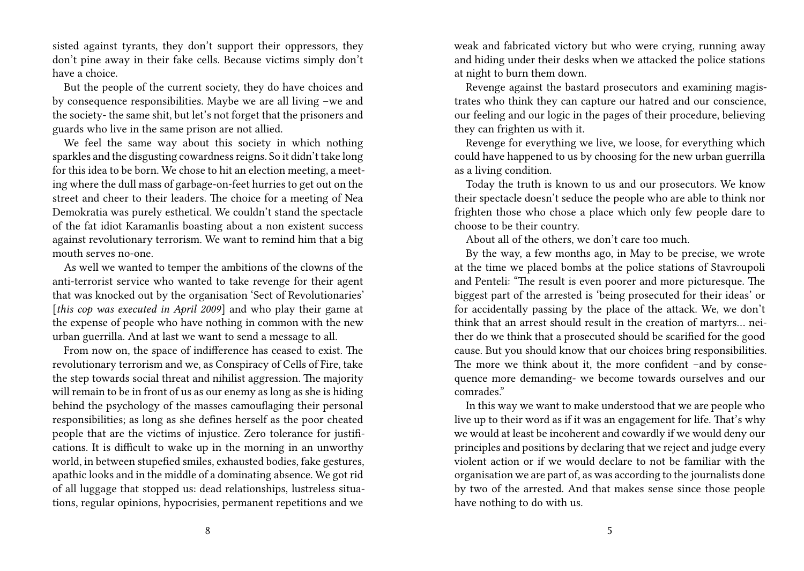sisted against tyrants, they don't support their oppressors, they don't pine away in their fake cells. Because victims simply don't have a choice.

But the people of the current society, they do have choices and by consequence responsibilities. Maybe we are all living –we and the society- the same shit, but let's not forget that the prisoners and guards who live in the same prison are not allied.

We feel the same way about this society in which nothing sparkles and the disgusting cowardness reigns. So it didn't take long for this idea to be born. We chose to hit an election meeting, a meeting where the dull mass of garbage-on-feet hurries to get out on the street and cheer to their leaders. The choice for a meeting of Nea Demokratia was purely esthetical. We couldn't stand the spectacle of the fat idiot Karamanlis boasting about a non existent success against revolutionary terrorism. We want to remind him that a big mouth serves no-one.

As well we wanted to temper the ambitions of the clowns of the anti-terrorist service who wanted to take revenge for their agent that was knocked out by the organisation 'Sect of Revolutionaries' [*this cop was executed in April 2009*] and who play their game at the expense of people who have nothing in common with the new urban guerrilla. And at last we want to send a message to all.

From now on, the space of indifference has ceased to exist. The revolutionary terrorism and we, as Conspiracy of Cells of Fire, take the step towards social threat and nihilist aggression. The majority will remain to be in front of us as our enemy as long as she is hiding behind the psychology of the masses camouflaging their personal responsibilities; as long as she defines herself as the poor cheated people that are the victims of injustice. Zero tolerance for justifications. It is difficult to wake up in the morning in an unworthy world, in between stupefied smiles, exhausted bodies, fake gestures, apathic looks and in the middle of a dominating absence. We got rid of all luggage that stopped us: dead relationships, lustreless situations, regular opinions, hypocrisies, permanent repetitions and we

weak and fabricated victory but who were crying, running away and hiding under their desks when we attacked the police stations at night to burn them down.

Revenge against the bastard prosecutors and examining magistrates who think they can capture our hatred and our conscience, our feeling and our logic in the pages of their procedure, believing they can frighten us with it.

Revenge for everything we live, we loose, for everything which could have happened to us by choosing for the new urban guerrilla as a living condition.

Today the truth is known to us and our prosecutors. We know their spectacle doesn't seduce the people who are able to think nor frighten those who chose a place which only few people dare to choose to be their country.

About all of the others, we don't care too much.

By the way, a few months ago, in May to be precise, we wrote at the time we placed bombs at the police stations of Stavroupoli and Penteli: "The result is even poorer and more picturesque. The biggest part of the arrested is 'being prosecuted for their ideas' or for accidentally passing by the place of the attack. We, we don't think that an arrest should result in the creation of martyrs… neither do we think that a prosecuted should be scarified for the good cause. But you should know that our choices bring responsibilities. The more we think about it, the more confident –and by consequence more demanding- we become towards ourselves and our comrades."

In this way we want to make understood that we are people who live up to their word as if it was an engagement for life. That's why we would at least be incoherent and cowardly if we would deny our principles and positions by declaring that we reject and judge every violent action or if we would declare to not be familiar with the organisation we are part of, as was according to the journalists done by two of the arrested. And that makes sense since those people have nothing to do with us.